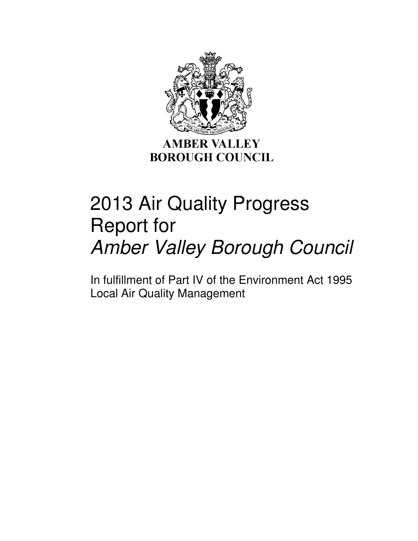

**AMBER VALLEY BOROUGH COUNCIL** 

# 2013 Air Quality Progress Report for Amber Valley Borough Council

In fulfillment of Part IV of the Environment Act 1995 Local Air Quality Management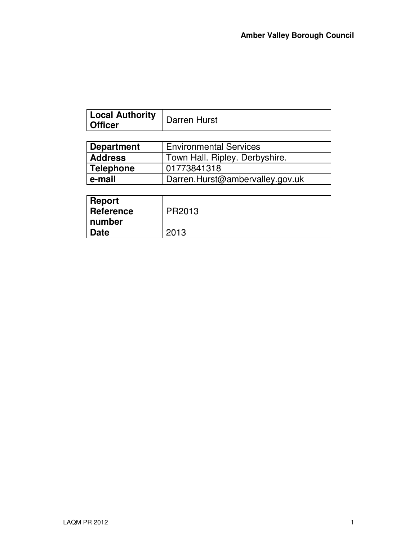| Local Authority<br><b>Officer</b>                  | Darren Hurst                   |  |
|----------------------------------------------------|--------------------------------|--|
|                                                    |                                |  |
| <b>Environmental Services</b><br><b>Department</b> |                                |  |
| <b>Address</b>                                     | Town Hall. Ripley. Derbyshire. |  |

| .         |                                 |
|-----------|---------------------------------|
| Telephone | 01773841318                     |
| e-mail    | Darren.Hurst@ambervalley.gov.uk |
|           |                                 |

| <b>Report</b><br>⊪ Reference<br>number | PR2013 |
|----------------------------------------|--------|
| <b>Date</b>                            | 2013   |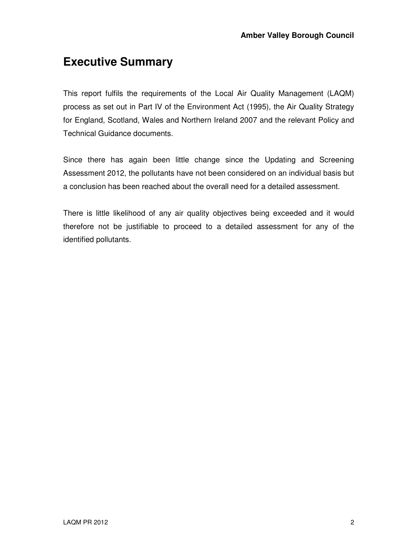### **Executive Summary**

This report fulfils the requirements of the Local Air Quality Management (LAQM) process as set out in Part IV of the Environment Act (1995), the Air Quality Strategy for England, Scotland, Wales and Northern Ireland 2007 and the relevant Policy and Technical Guidance documents.

Since there has again been little change since the Updating and Screening Assessment 2012, the pollutants have not been considered on an individual basis but a conclusion has been reached about the overall need for a detailed assessment.

There is little likelihood of any air quality objectives being exceeded and it would therefore not be justifiable to proceed to a detailed assessment for any of the identified pollutants.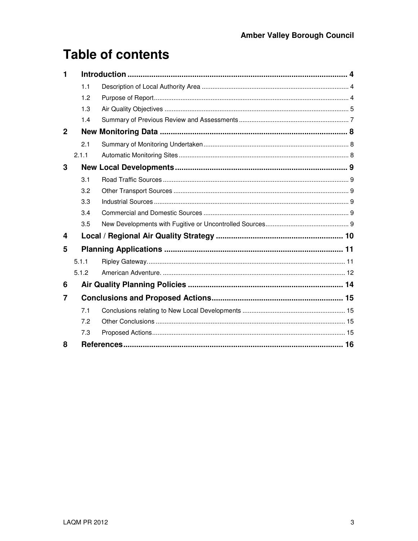# **Table of contents**

| 1           |       |  |
|-------------|-------|--|
|             | 1.1   |  |
|             | 1.2   |  |
|             | 1.3   |  |
|             | 1.4   |  |
| $\mathbf 2$ |       |  |
|             | 2.1   |  |
|             | 2.1.1 |  |
| 3           |       |  |
|             | 3.1   |  |
|             | 3.2   |  |
|             | 3.3   |  |
|             | 3.4   |  |
|             | 3.5   |  |
| 4           |       |  |
| 5           |       |  |
|             | 5.1.1 |  |
|             | 5.1.2 |  |
| 6           |       |  |
| 7           |       |  |
|             | 7.1   |  |
|             | 7.2   |  |
|             | 7.3   |  |
| 8           |       |  |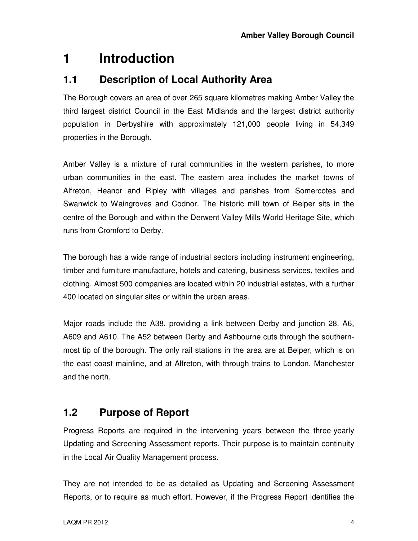# **1 Introduction**

#### **1.1 Description of Local Authority Area**

The Borough covers an area of over 265 square kilometres making Amber Valley the third largest district Council in the East Midlands and the largest district authority population in Derbyshire with approximately 121,000 people living in 54,349 properties in the Borough.

Amber Valley is a mixture of rural communities in the western parishes, to more urban communities in the east. The eastern area includes the market towns of Alfreton, Heanor and Ripley with villages and parishes from Somercotes and Swanwick to Waingroves and Codnor. The historic mill town of Belper sits in the centre of the Borough and within the Derwent Valley Mills World Heritage Site, which runs from Cromford to Derby.

The borough has a wide range of industrial sectors including instrument engineering, timber and furniture manufacture, hotels and catering, business services, textiles and clothing. Almost 500 companies are located within 20 industrial estates, with a further 400 located on singular sites or within the urban areas.

Major roads include the A38, providing a link between Derby and junction 28, A6, A609 and A610. The A52 between Derby and Ashbourne cuts through the southernmost tip of the borough. The only rail stations in the area are at Belper, which is on the east coast mainline, and at Alfreton, with through trains to London, Manchester and the north.

#### **1.2 Purpose of Report**

Progress Reports are required in the intervening years between the three-yearly Updating and Screening Assessment reports. Their purpose is to maintain continuity in the Local Air Quality Management process.

They are not intended to be as detailed as Updating and Screening Assessment Reports, or to require as much effort. However, if the Progress Report identifies the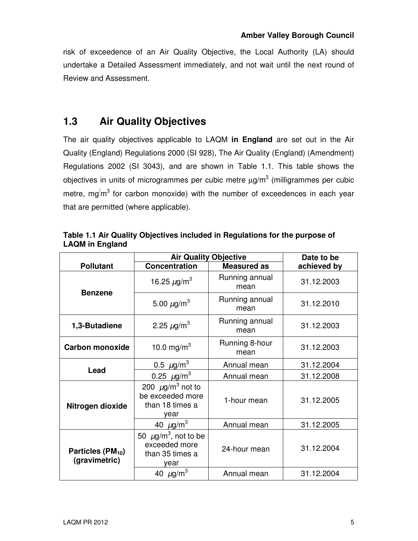risk of exceedence of an Air Quality Objective, the Local Authority (LA) should undertake a Detailed Assessment immediately, and not wait until the next round of Review and Assessment.

### **1.3 Air Quality Objectives**

The air quality objectives applicable to LAQM **in England** are set out in the Air Quality (England) Regulations 2000 (SI 928), The Air Quality (England) (Amendment) Regulations 2002 (SI 3043), and are shown in Table 1.1. This table shows the objectives in units of microgrammes per cubic metre  $\mu$ g/m $^3$  (milligrammes per cubic metre, mg $'m^3$  for carbon monoxide) with the number of exceedences in each year that are permitted (where applicable).

|                                                | <b>Air Quality Objective</b>                                                      |                        | Date to be  |  |
|------------------------------------------------|-----------------------------------------------------------------------------------|------------------------|-------------|--|
| <b>Pollutant</b>                               | <b>Concentration</b>                                                              | <b>Measured as</b>     | achieved by |  |
| <b>Benzene</b>                                 | 16.25 $\mu$ g/m <sup>3</sup>                                                      | Running annual<br>mean | 31.12.2003  |  |
|                                                | 5.00 $\mu$ g/m <sup>3</sup>                                                       | Running annual<br>mean | 31.12.2010  |  |
| 1,3-Butadiene                                  | 2.25 $\mu$ g/m <sup>3</sup>                                                       | Running annual<br>mean | 31.12.2003  |  |
| <b>Carbon monoxide</b>                         | 10.0 mg/m <sup>3</sup>                                                            | Running 8-hour<br>mean | 31.12.2003  |  |
|                                                | $0.5 \ \mu g/m^3$                                                                 | Annual mean            | 31.12.2004  |  |
| Lead                                           | 0.25 $\mu$ g/m <sup>3</sup>                                                       | Annual mean            | 31.12.2008  |  |
| Nitrogen dioxide                               | 200 $\mu$ g/m <sup>3</sup> not to<br>be exceeded more<br>than 18 times a<br>year  | 1-hour mean            | 31.12.2005  |  |
|                                                | 40 $\mu$ g/m <sup>3</sup>                                                         | Annual mean            | 31.12.2005  |  |
| Particles (PM <sub>10</sub> )<br>(gravimetric) | 50 $\mu$ g/m <sup>3</sup> , not to be<br>exceeded more<br>than 35 times a<br>year | 24-hour mean           | 31.12.2004  |  |
|                                                | 40 $\mu$ g/m <sup>3</sup>                                                         | Annual mean            | 31.12.2004  |  |

**Table 1.1 Air Quality Objectives included in Regulations for the purpose of LAQM in England**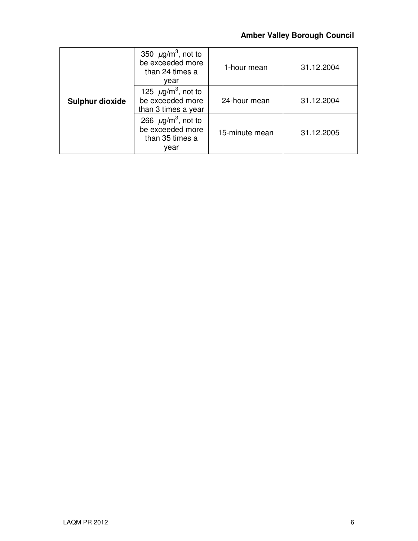#### **Amber Valley Borough Council**

|                        | 350 $\mu$ g/m <sup>3</sup> , not to<br>be exceeded more<br>than 24 times a<br>vear | 1-hour mean    | 31.12.2004 |
|------------------------|------------------------------------------------------------------------------------|----------------|------------|
| <b>Sulphur dioxide</b> | 125 $\mu$ g/m <sup>3</sup> , not to<br>be exceeded more<br>than 3 times a year     | 24-hour mean   | 31.12.2004 |
|                        | 266 $\mu$ g/m <sup>3</sup> , not to<br>be exceeded more<br>than 35 times a<br>year | 15-minute mean | 31.12.2005 |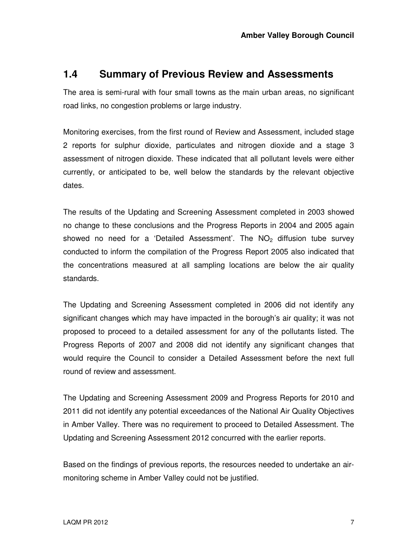#### **1.4 Summary of Previous Review and Assessments**

The area is semi-rural with four small towns as the main urban areas, no significant road links, no congestion problems or large industry.

Monitoring exercises, from the first round of Review and Assessment, included stage 2 reports for sulphur dioxide, particulates and nitrogen dioxide and a stage 3 assessment of nitrogen dioxide. These indicated that all pollutant levels were either currently, or anticipated to be, well below the standards by the relevant objective dates.

The results of the Updating and Screening Assessment completed in 2003 showed no change to these conclusions and the Progress Reports in 2004 and 2005 again showed no need for a 'Detailed Assessment'. The  $NO<sub>2</sub>$  diffusion tube survey conducted to inform the compilation of the Progress Report 2005 also indicated that the concentrations measured at all sampling locations are below the air quality standards.

The Updating and Screening Assessment completed in 2006 did not identify any significant changes which may have impacted in the borough's air quality; it was not proposed to proceed to a detailed assessment for any of the pollutants listed. The Progress Reports of 2007 and 2008 did not identify any significant changes that would require the Council to consider a Detailed Assessment before the next full round of review and assessment.

The Updating and Screening Assessment 2009 and Progress Reports for 2010 and 2011 did not identify any potential exceedances of the National Air Quality Objectives in Amber Valley. There was no requirement to proceed to Detailed Assessment. The Updating and Screening Assessment 2012 concurred with the earlier reports.

Based on the findings of previous reports, the resources needed to undertake an airmonitoring scheme in Amber Valley could not be justified.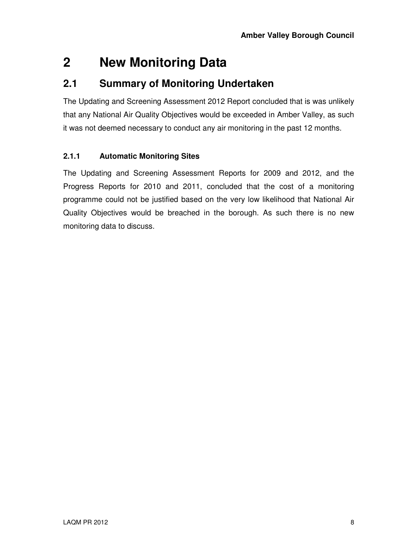# **2 New Monitoring Data**

#### **2.1 Summary of Monitoring Undertaken**

The Updating and Screening Assessment 2012 Report concluded that is was unlikely that any National Air Quality Objectives would be exceeded in Amber Valley, as such it was not deemed necessary to conduct any air monitoring in the past 12 months.

#### **2.1.1 Automatic Monitoring Sites**

The Updating and Screening Assessment Reports for 2009 and 2012, and the Progress Reports for 2010 and 2011, concluded that the cost of a monitoring programme could not be justified based on the very low likelihood that National Air Quality Objectives would be breached in the borough. As such there is no new monitoring data to discuss.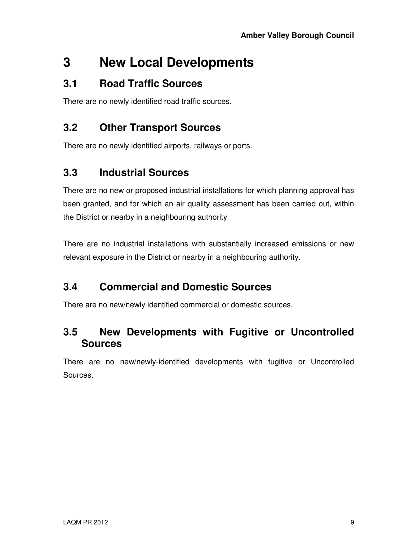### **3 New Local Developments**

#### **3.1 Road Traffic Sources**

There are no newly identified road traffic sources.

### **3.2 Other Transport Sources**

There are no newly identified airports, railways or ports.

### **3.3 Industrial Sources**

There are no new or proposed industrial installations for which planning approval has been granted, and for which an air quality assessment has been carried out, within the District or nearby in a neighbouring authority

There are no industrial installations with substantially increased emissions or new relevant exposure in the District or nearby in a neighbouring authority.

### **3.4 Commercial and Domestic Sources**

There are no new/newly identified commercial or domestic sources.

#### **3.5 New Developments with Fugitive or Uncontrolled Sources**

There are no new/newly-identified developments with fugitive or Uncontrolled Sources.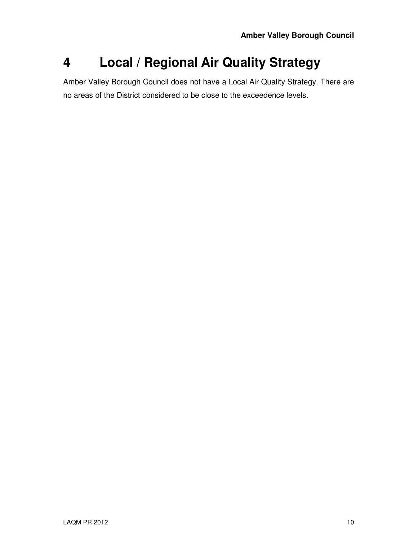## **4 Local / Regional Air Quality Strategy**

Amber Valley Borough Council does not have a Local Air Quality Strategy. There are no areas of the District considered to be close to the exceedence levels.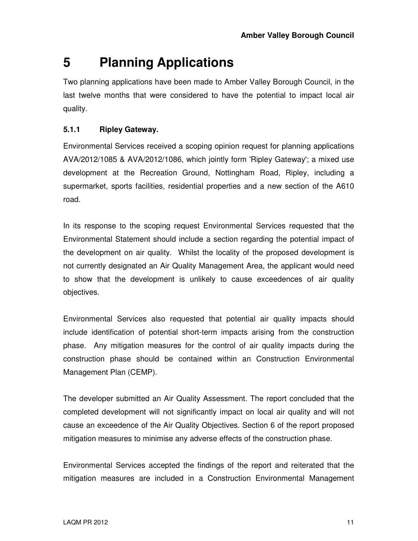# **5 Planning Applications**

Two planning applications have been made to Amber Valley Borough Council, in the last twelve months that were considered to have the potential to impact local air quality.

#### **5.1.1 Ripley Gateway.**

Environmental Services received a scoping opinion request for planning applications AVA/2012/1085 & AVA/2012/1086, which jointly form 'Ripley Gateway'; a mixed use development at the Recreation Ground, Nottingham Road, Ripley, including a supermarket, sports facilities, residential properties and a new section of the A610 road.

In its response to the scoping request Environmental Services requested that the Environmental Statement should include a section regarding the potential impact of the development on air quality. Whilst the locality of the proposed development is not currently designated an Air Quality Management Area, the applicant would need to show that the development is unlikely to cause exceedences of air quality objectives.

Environmental Services also requested that potential air quality impacts should include identification of potential short-term impacts arising from the construction phase. Any mitigation measures for the control of air quality impacts during the construction phase should be contained within an Construction Environmental Management Plan (CEMP).

The developer submitted an Air Quality Assessment. The report concluded that the completed development will not significantly impact on local air quality and will not cause an exceedence of the Air Quality Objectives. Section 6 of the report proposed mitigation measures to minimise any adverse effects of the construction phase.

Environmental Services accepted the findings of the report and reiterated that the mitigation measures are included in a Construction Environmental Management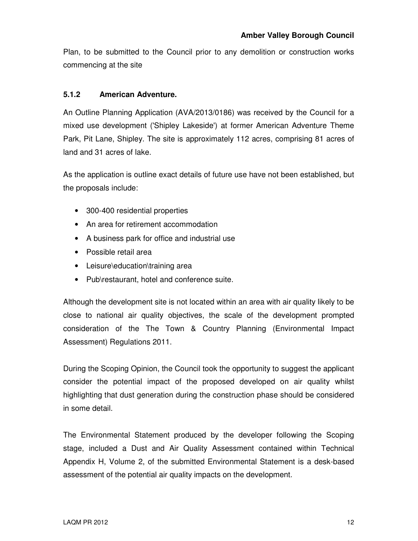Plan, to be submitted to the Council prior to any demolition or construction works commencing at the site

#### **5.1.2 American Adventure.**

An Outline Planning Application (AVA/2013/0186) was received by the Council for a mixed use development ('Shipley Lakeside') at former American Adventure Theme Park, Pit Lane, Shipley. The site is approximately 112 acres, comprising 81 acres of land and 31 acres of lake.

As the application is outline exact details of future use have not been established, but the proposals include:

- 300-400 residential properties
- An area for retirement accommodation
- A business park for office and industrial use
- Possible retail area
- Leisure\education\training area
- Pub\restaurant, hotel and conference suite.

Although the development site is not located within an area with air quality likely to be close to national air quality objectives, the scale of the development prompted consideration of the The Town & Country Planning (Environmental Impact Assessment) Regulations 2011.

During the Scoping Opinion, the Council took the opportunity to suggest the applicant consider the potential impact of the proposed developed on air quality whilst highlighting that dust generation during the construction phase should be considered in some detail.

The Environmental Statement produced by the developer following the Scoping stage, included a Dust and Air Quality Assessment contained within Technical Appendix H, Volume 2, of the submitted Environmental Statement is a desk-based assessment of the potential air quality impacts on the development.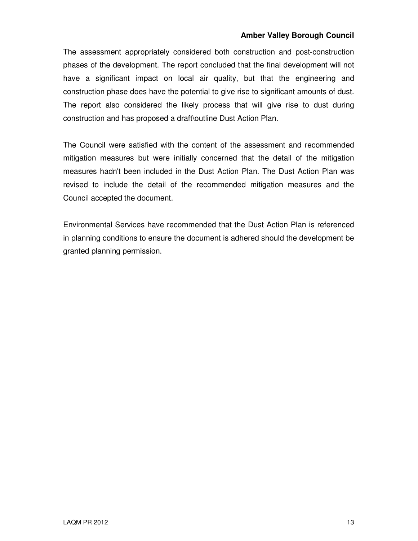#### **Amber Valley Borough Council**

The assessment appropriately considered both construction and post-construction phases of the development. The report concluded that the final development will not have a significant impact on local air quality, but that the engineering and construction phase does have the potential to give rise to significant amounts of dust. The report also considered the likely process that will give rise to dust during construction and has proposed a draft\outline Dust Action Plan.

The Council were satisfied with the content of the assessment and recommended mitigation measures but were initially concerned that the detail of the mitigation measures hadn't been included in the Dust Action Plan. The Dust Action Plan was revised to include the detail of the recommended mitigation measures and the Council accepted the document.

Environmental Services have recommended that the Dust Action Plan is referenced in planning conditions to ensure the document is adhered should the development be granted planning permission.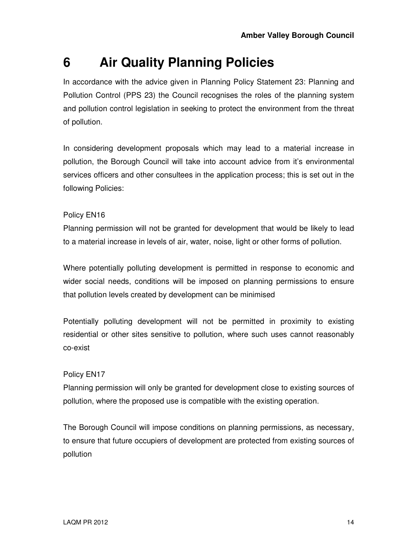# **6 Air Quality Planning Policies**

In accordance with the advice given in Planning Policy Statement 23: Planning and Pollution Control (PPS 23) the Council recognises the roles of the planning system and pollution control legislation in seeking to protect the environment from the threat of pollution.

In considering development proposals which may lead to a material increase in pollution, the Borough Council will take into account advice from it's environmental services officers and other consultees in the application process; this is set out in the following Policies:

#### Policy EN16

Planning permission will not be granted for development that would be likely to lead to a material increase in levels of air, water, noise, light or other forms of pollution.

Where potentially polluting development is permitted in response to economic and wider social needs, conditions will be imposed on planning permissions to ensure that pollution levels created by development can be minimised

Potentially polluting development will not be permitted in proximity to existing residential or other sites sensitive to pollution, where such uses cannot reasonably co-exist

#### Policy EN17

Planning permission will only be granted for development close to existing sources of pollution, where the proposed use is compatible with the existing operation.

The Borough Council will impose conditions on planning permissions, as necessary, to ensure that future occupiers of development are protected from existing sources of pollution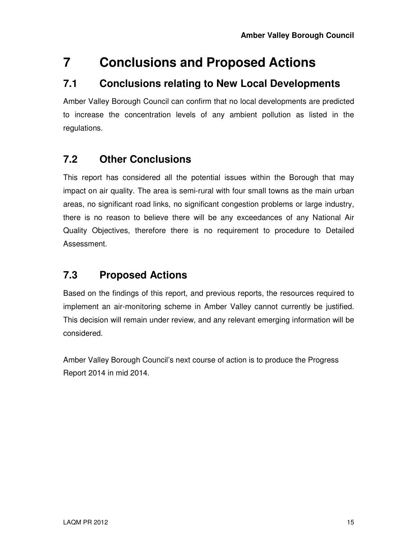# **7 Conclusions and Proposed Actions**

#### **7.1 Conclusions relating to New Local Developments**

Amber Valley Borough Council can confirm that no local developments are predicted to increase the concentration levels of any ambient pollution as listed in the regulations.

### **7.2 Other Conclusions**

This report has considered all the potential issues within the Borough that may impact on air quality. The area is semi-rural with four small towns as the main urban areas, no significant road links, no significant congestion problems or large industry, there is no reason to believe there will be any exceedances of any National Air Quality Objectives, therefore there is no requirement to procedure to Detailed Assessment.

### **7.3 Proposed Actions**

Based on the findings of this report, and previous reports, the resources required to implement an air-monitoring scheme in Amber Valley cannot currently be justified. This decision will remain under review, and any relevant emerging information will be considered.

Amber Valley Borough Council's next course of action is to produce the Progress Report 2014 in mid 2014.